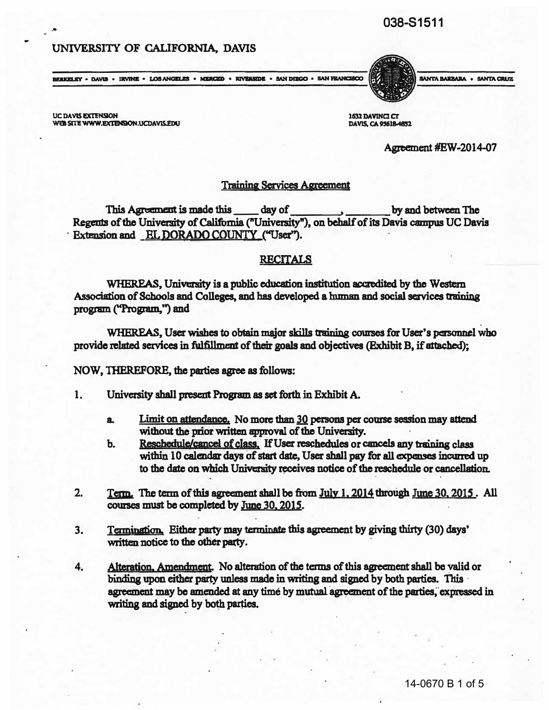# 038-51511

## UNIVERSITY OF CALIFORNIA, DAVIS



UC DAVIS EXTENSION WEB SITE WWW.EXTENSION.UCDAVIS.EDU

..

1632 DAVINCI CT DAVIS, CA 95618-4852

Agreement #EW-2014-07

SANTA BARBARA . SANTA CRUZ

## Training Services Agreement

Regents of the University of Califomia ("University"), on behalf of its Davis campus UC Davis This Agreement is made this day of by and between The Extension and **EL DORADO COUNTY** ("User").

## RECITALS

WHEREAS , University is a public education institution accredited by the Western Associati on of Schools and Colleges, and has developed a human and social services training program ("Program,") and

WHEREAS , User wishes to obtain major skills training courses for User's personnel who provide related services in fulfillment of their goals and objectives (Exhibit B, if attached);

NOW, THEREFORE, the parties agree as follows:

- 1. University shall present Program as set forth in Exhibit A.
	- a. Limit on attendance. No more than 30 persons per course session may attend without the prior written approval of the University.
	- b. Reschedule/cancel of class. If User reschedules or cancels any training class within 10 calendar days of start date, User shall pay for all expenses incurred up to the date on which University receives notice of the reschedule or cancellation.
- 2. Term. The term of this agreement shall be from July 1, 2014 through June 30, 2015. All courses must be completed by June 30, 2015.
- 3. Termination. Either party may terminate this agreement by giving thirty (30) days' written notice to the other party.
- 4. Alteration. Amendment. No alteration of the terms of this agreement shall be valid or binding upon either party unless made in writing and signed by both parties. This agreement may be amended at any time by mutual agreement of the parties, expressed in writing and signed by both parties. .

. .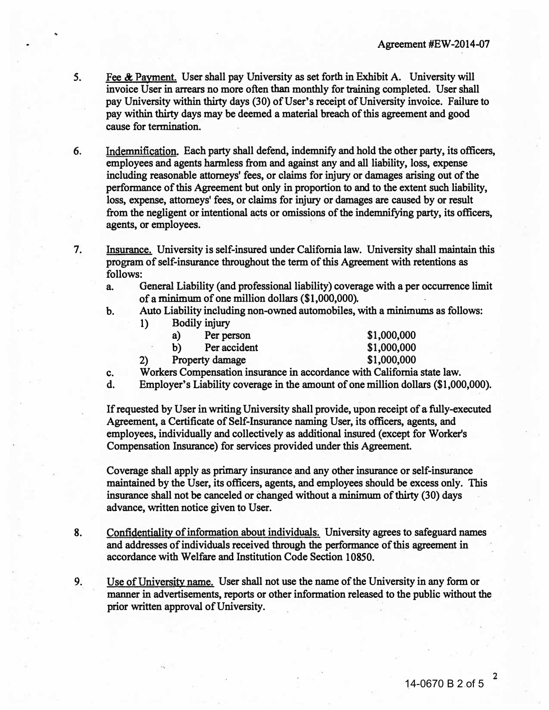- 5. Fee & Payment. User shall pay University as set forth in Exhibit A. University will invoice User in arrears no more often than monthly for training completed. User shall pay University within thirty days (30) of User's receipt of University invoice. Failure to pay within thirty days may be deemed a material breach of this agreement and good cause for termination.
- 6. Indemnification. Each party shall defend, indemnify and hold the other party, its officers, employees and agents harmless from and against any and all liability, loss, expense including reasonable attorneys' fees, or claims for injury or damages arising out of the performance of this Agreement but only in proportion to and to the extent such liability, loss, expense, attorneys' fees, or claims for injury or damages are caused by or result from the negligent or intentional acts or omissions of the indemnifying party, its officers, agents, or employees.

7. Insurance. University is self-insured under California law. University shall maintain this program of self-insurance throughout the term of this Agreement with retentions as follows:

- a. General Liability (and professional liability) coverage with a per occurrence limit of a minimum of one million dollars (\$1,000,000).
- b. Auto Liability including non-owned automobiles, with a minimums as follows:

| 1) | Bodily injury      |             |
|----|--------------------|-------------|
|    | Per person<br>a)   | \$1,000,000 |
|    | Per accident<br>b) | \$1,000,000 |
| 2) | Property damage    | \$1,000,000 |

- c. Workers Compensation insurance in accordance with California state law.
- d. Employer's Liability coverage in the amount of one million dollars (\$1,000,000).

If requested by User in writing University shall provide, upon receipt of a fully-executed Agreement, a Certificate of Self-Insurance naming User, its officers, agents, and employees, individually and collectively as additional insured (except for Worker's Compensation Insurance) for services provided under this Agreement.

Coverage shall apply as primary insurance and any other insurance or self-insurance maintained by the User, its officers, agents, and employees should be excess only. This insurance shall not be canceled or changed without a minimum of thirty (30) days advance, written notice given to User.

8. Confidentiality of information about individuals. University agrees to safeguard names and addresses of individuals received through the performance of this agreement in accordance with Welfare and Institution Code Section 10850.

9. Use of University name. User shall not use the name of the University in any form or manner in advertisements, reports or other information released to the public without the prior written approval of University.

2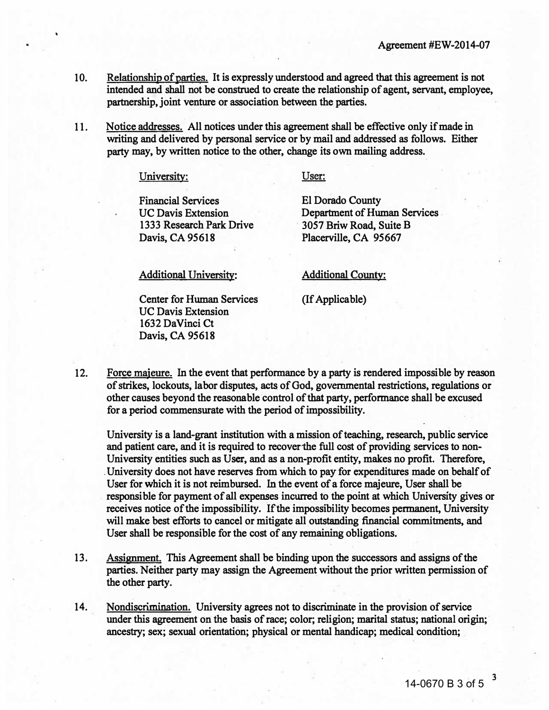- 10. Relationship of parties. It is expressly understood and agreed that this agreement is not intended and shall not be construed to create the relationship of agent, servant, employee, partnership, joint venture or association between the parties.
- 11. Notice addresses. All notices under this agreement shall be effective only if made in writing and delivered by personal service or by mail and addressed as follows. Either party may, by written notice to the other, change its own mailing address.

### University:

User:

Financial Services UC Davis Extension 1333 Research Park Drive Davis, CA 95618

El Dorado County Department of Human Services . 3057 Briw Road, Suite B Placerville, CA 95667

Additional University:

Center for Human Services UC Davis Extension 1632 DaVinci Ct Davis, CA 95618

#### Additional County:

(If Applicable)

12. Force majeure. In the event that performance by a party is rendered impossible by reason of strikes, lockouts, labor disputes, acts of God, governmental restrictions, regulations or other causes beyond the reasonable control of that party, performance shall be excused for a period commensurate with the period of impossibility.

University is a land-grant institution with a mission of teaching, research, public service and patient care, and it is required to recover the full cost of providing services to non-University entities such as User, and as a non-profit entity, makes no profit. Therefore, . University does not have reserves from which to pay for expenditures made on behalf of User for which it is not reimbursed. In the event of a force majeure, User shall be responsible for payment of all expenses incurred to the Point at which University gives or receives notice of the impossibility. If the impossibility becomes permanent, University will make best efforts to cancel or mitigate all outstanding financial commitments, and User shall be responsible for the cost of any remaining obligations.

- 13. Assignment. This Agreement shall be binding upon the successors and assigns of the parties. Neither party may assign the Agreement without the prior written permission of the other party.
- 14. Nondiscrimination. University agrees not to discriminate in the provision of service under this agreement on the basis of race; color; religion; marital status; national origin; ancestry; sex; sexual orientation; physical or mental handicap; medical condition; .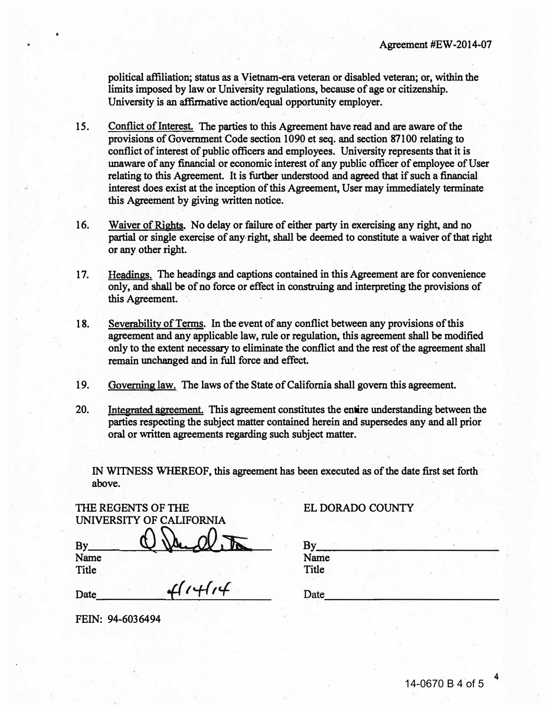political affiliation; status as a Vietnam-era veteran or disabled veteran; or, within the limits imposed by law or University regulations, because of age or citizenship. University is an affirmative action/equal opportunity employer.

- 15. Conflict of Interest. The parties to this Agreement have read and are aware of the provisions of Government Code section 1090 et seq. and section 87100 relating to conflict of interest of public officers and employees. University represents that it is unaware of any financial or economic interest of any public officer of employee of User relating to this Agreement. It is further understood and agreed that if such a financial interest does exist at the inception of this Agreement, User may immediately terminate this Agreement by giving written notice.
- 16. Waiver of Rights. No delay or failure of either party in exercising any right, and no partial or single exercise of any right, shall be deemed to constitute a waiver of that right or any other right.
- 17. Headings. The headings and captions contained in this Agreement are for convenience only, and shall be of no force or effect in construing and interpreting the provisions of this Agreement.
- 18. Severability of Terms. In the event of any conflict between any provisions of this agreement and any applicable law, rule or regulation, this agreement shall be modified only to the extent necessary to eliminate the conflict and the test of the agreement shall remain unchanged and in full force and effect.
- 19. Governing law. The laws of the State of California shall govern this agreement.

. .

20. Integrated agreement. This agreement constitutes the entire understanding between the parties respecting the subject matter contained herein and supersedes any and all prior oral or written agreements regarding such subject matter.

IN WITNESS WHEREOF, this agreement has been executed as of the date first set forth above.

|              | THE REGENTS OF THE       |     |  |
|--------------|--------------------------|-----|--|
|              | UNIVERSITY OF CALIFORNIA |     |  |
| <b>By</b>    |                          | NV. |  |
| Name         |                          |     |  |
| <b>Title</b> |                          |     |  |

Date  $41414$ 

FEIN: 94-6036494

## ELDORADO COUNTY

| By    |  |
|-------|--|
| Name  |  |
| Title |  |
| Date  |  |

\_\_\_\_\_\_\_\_\_\_\_\_\_\_\_\_\_\_\_\_\_\_\_\_\_\_

4